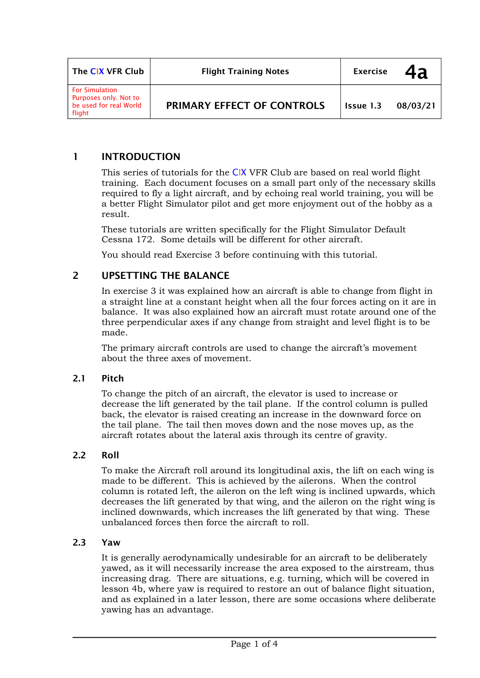| The CIX VFR Club                                                                   | <b>Flight Training Notes</b> | <b>Exercise</b> | 4a       |
|------------------------------------------------------------------------------------|------------------------------|-----------------|----------|
| <b>For Simulation</b><br>Purposes only. Not to<br>be used for real World<br>flight | PRIMARY EFFECT OF CONTROLS   | Issue 1.3       | 08/03/21 |

## **1 INTRODUCTION**

This series of tutorials for the CIX VFR Club are based on real world flight training. Each document focuses on a small part only of the necessary skills required to fly a light aircraft, and by echoing real world training, you will be a better Flight Simulator pilot and get more enjoyment out of the hobby as a result.

These tutorials are written specifically for the Flight Simulator Default Cessna 172. Some details will be different for other aircraft.

You should read Exercise 3 before continuing with this tutorial.

## **2 UPSETTING THE BALANCE**

In exercise 3 it was explained how an aircraft is able to change from flight in a straight line at a constant height when all the four forces acting on it are in balance. It was also explained how an aircraft must rotate around one of the three perpendicular axes if any change from straight and level flight is to be made.

The primary aircraft controls are used to change the aircraft's movement about the three axes of movement.

### **2.1 Pitch**

To change the pitch of an aircraft, the elevator is used to increase or decrease the lift generated by the tail plane. If the control column is pulled back, the elevator is raised creating an increase in the downward force on the tail plane. The tail then moves down and the nose moves up, as the aircraft rotates about the lateral axis through its centre of gravity.

### **2.2 Roll**

To make the Aircraft roll around its longitudinal axis, the lift on each wing is made to be different. This is achieved by the ailerons. When the control column is rotated left, the aileron on the left wing is inclined upwards, which decreases the lift generated by that wing, and the aileron on the right wing is inclined downwards, which increases the lift generated by that wing. These unbalanced forces then force the aircraft to roll.

#### **2.3 Yaw**

It is generally aerodynamically undesirable for an aircraft to be deliberately yawed, as it will necessarily increase the area exposed to the airstream, thus increasing drag. There are situations, e.g. turning, which will be covered in lesson 4b, where yaw is required to restore an out of balance flight situation, and as explained in a later lesson, there are some occasions where deliberate yawing has an advantage.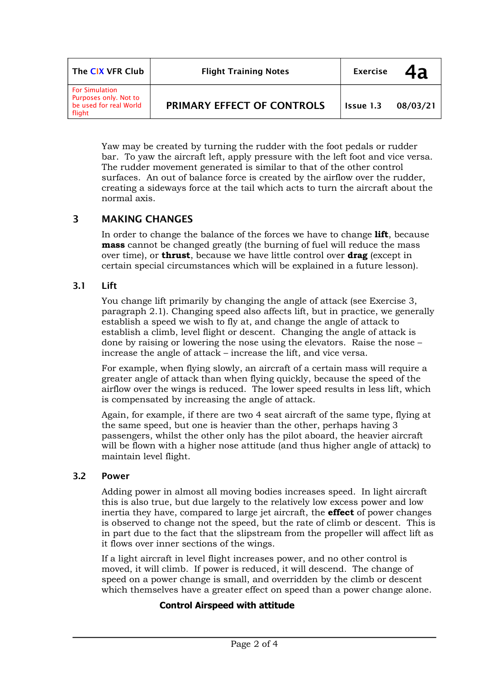| The CIX VFR Club                                                                   | <b>Flight Training Notes</b>      | <b>Exercise</b> | 4a       |
|------------------------------------------------------------------------------------|-----------------------------------|-----------------|----------|
| <b>For Simulation</b><br>Purposes only. Not to<br>be used for real World<br>flight | <b>PRIMARY EFFECT OF CONTROLS</b> | Issue 1.3       | 08/03/21 |

Yaw may be created by turning the rudder with the foot pedals or rudder bar. To yaw the aircraft left, apply pressure with the left foot and vice versa. The rudder movement generated is similar to that of the other control surfaces. An out of balance force is created by the airflow over the rudder, creating a sideways force at the tail which acts to turn the aircraft about the normal axis.

# **3 MAKING CHANGES**

In order to change the balance of the forces we have to change **lift**, because **mass** cannot be changed greatly (the burning of fuel will reduce the mass over time), or **thrust**, because we have little control over **drag** (except in certain special circumstances which will be explained in a future lesson).

## **3.1 Lift**

You change lift primarily by changing the angle of attack (see Exercise 3, paragraph 2.1). Changing speed also affects lift, but in practice, we generally establish a speed we wish to fly at, and change the angle of attack to establish a climb, level flight or descent. Changing the angle of attack is done by raising or lowering the nose using the elevators. Raise the nose – increase the angle of attack – increase the lift, and vice versa.

For example, when flying slowly, an aircraft of a certain mass will require a greater angle of attack than when flying quickly, because the speed of the airflow over the wings is reduced. The lower speed results in less lift, which is compensated by increasing the angle of attack.

Again, for example, if there are two 4 seat aircraft of the same type, flying at the same speed, but one is heavier than the other, perhaps having 3 passengers, whilst the other only has the pilot aboard, the heavier aircraft will be flown with a higher nose attitude (and thus higher angle of attack) to maintain level flight.

### **3.2 Power**

Adding power in almost all moving bodies increases speed. In light aircraft this is also true, but due largely to the relatively low excess power and low inertia they have, compared to large jet aircraft, the **effect** of power changes is observed to change not the speed, but the rate of climb or descent. This is in part due to the fact that the slipstream from the propeller will affect lift as it flows over inner sections of the wings.

If a light aircraft in level flight increases power, and no other control is moved, it will climb. If power is reduced, it will descend. The change of speed on a power change is small, and overridden by the climb or descent which themselves have a greater effect on speed than a power change alone.

### **Control Airspeed with attitude**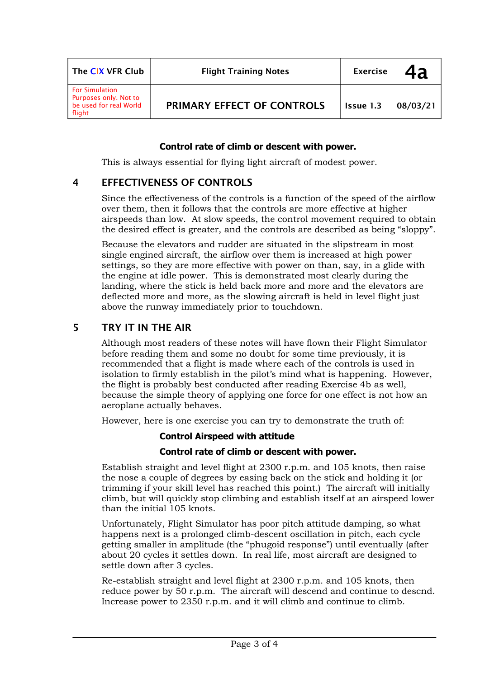| The CIX VFR Club                                                                   | <b>Flight Training Notes</b> | <b>Exercise</b> | 4a       |
|------------------------------------------------------------------------------------|------------------------------|-----------------|----------|
| <b>For Simulation</b><br>Purposes only. Not to<br>be used for real World<br>flight | PRIMARY EFFECT OF CONTROLS   | Issue 1.3       | 08/03/21 |

### **Control rate of climb or descent with power.**

This is always essential for flying light aircraft of modest power.

### **4 EFFECTIVENESS OF CONTROLS**

Since the effectiveness of the controls is a function of the speed of the airflow over them, then it follows that the controls are more effective at higher airspeeds than low. At slow speeds, the control movement required to obtain the desired effect is greater, and the controls are described as being "sloppy".

Because the elevators and rudder are situated in the slipstream in most single engined aircraft, the airflow over them is increased at high power settings, so they are more effective with power on than, say, in a glide with the engine at idle power. This is demonstrated most clearly during the landing, where the stick is held back more and more and the elevators are deflected more and more, as the slowing aircraft is held in level flight just above the runway immediately prior to touchdown.

## **5 TRY IT IN THE AIR**

Although most readers of these notes will have flown their Flight Simulator before reading them and some no doubt for some time previously, it is recommended that a flight is made where each of the controls is used in isolation to firmly establish in the pilot's mind what is happening. However, the flight is probably best conducted after reading Exercise 4b as well, because the simple theory of applying one force for one effect is not how an aeroplane actually behaves.

However, here is one exercise you can try to demonstrate the truth of:

#### **Control Airspeed with attitude**

#### **Control rate of climb or descent with power.**

Establish straight and level flight at 2300 r.p.m. and 105 knots, then raise the nose a couple of degrees by easing back on the stick and holding it (or trimming if your skill level has reached this point.) The aircraft will initially climb, but will quickly stop climbing and establish itself at an airspeed lower than the initial 105 knots.

Unfortunately, Flight Simulator has poor pitch attitude damping, so what happens next is a prolonged climb-descent oscillation in pitch, each cycle getting smaller in amplitude (the "phugoid response") until eventually (after about 20 cycles it settles down. In real life, most aircraft are designed to settle down after 3 cycles.

Re-establish straight and level flight at 2300 r.p.m. and 105 knots, then reduce power by 50 r.p.m. The aircraft will descend and continue to descnd. Increase power to 2350 r.p.m. and it will climb and continue to climb.